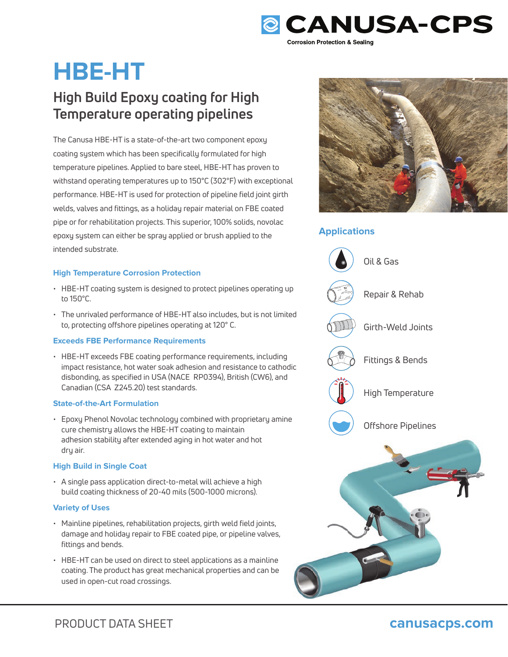

# **HBE-HT**

### **High Build Epoxy coating for High Temperature operating pipelines**

The Canusa HBE-HT is a state-of-the-art two component epoxy coating system which has been specifically formulated for high temperature pipelines. Applied to bare steel, HBE-HT has proven to withstand operating temperatures up to 150°C (302°F) with exceptional performance. HBE-HT is used for protection of pipeline field joint girth welds, valves and fittings, as a holiday repair material on FBE coated pipe or for rehabilitation projects. This superior, 100% solids, novolac epoxy system can either be spray applied or brush applied to the intended substrate.

### **High Temperature Corrosion Protection**

- HBE-HT coating system is designed to protect pipelines operating up to 150°C.
- The unrivaled performance of HBE-HT also includes, but is not limited to, protecting offshore pipelines operating at 120° C.

### **Exceeds FBE Performance Requirements**

• HBE-HT exceeds FBE coating performance requirements, including impact resistance, hot water soak adhesion and resistance to cathodic disbonding, as specified in USA (NACE RP0394), British (CW6), and Canadian (CSA Z245.20) test standards.

### **State-of-the-Art Formulation**

• Epoxy Phenol Novolac technology combined with proprietary amine cure chemistry allows the HBE-HT coating to maintain adhesion stability after extended aging in hot water and hot dry air.

### **High Build in Single Coat**

• A single pass application direct-to-metal will achieve a high build coating thickness of 20-40 mils (500-1000 microns).

### **Variety of Uses**

- Mainline pipelines, rehabilitation projects, girth weld field joints, damage and holiday repair to FBE coated pipe, or pipeline valves, fittings and bends.
- HBE-HT can be used on direct to steel applications as a mainline coating. The product has great mechanical properties and can be used in open-cut road crossings.



### **Applications**